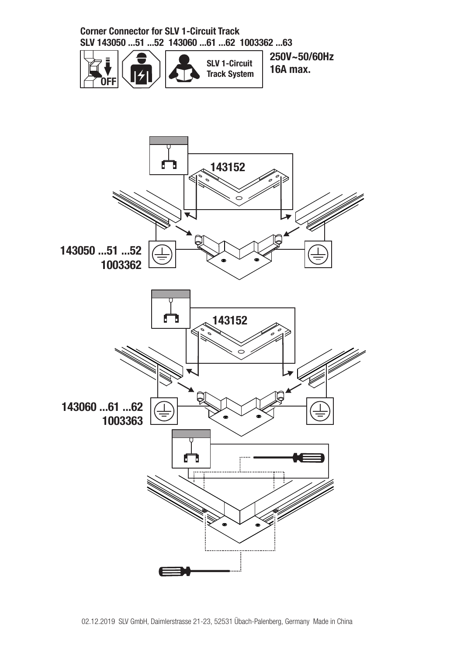**Corner Connector for SLV 1-Circuit Track SLV 143050 ...51 ...52 143060 ...61 ...62 1003362 ...63**



**250V~50/60Hz 16A max.**